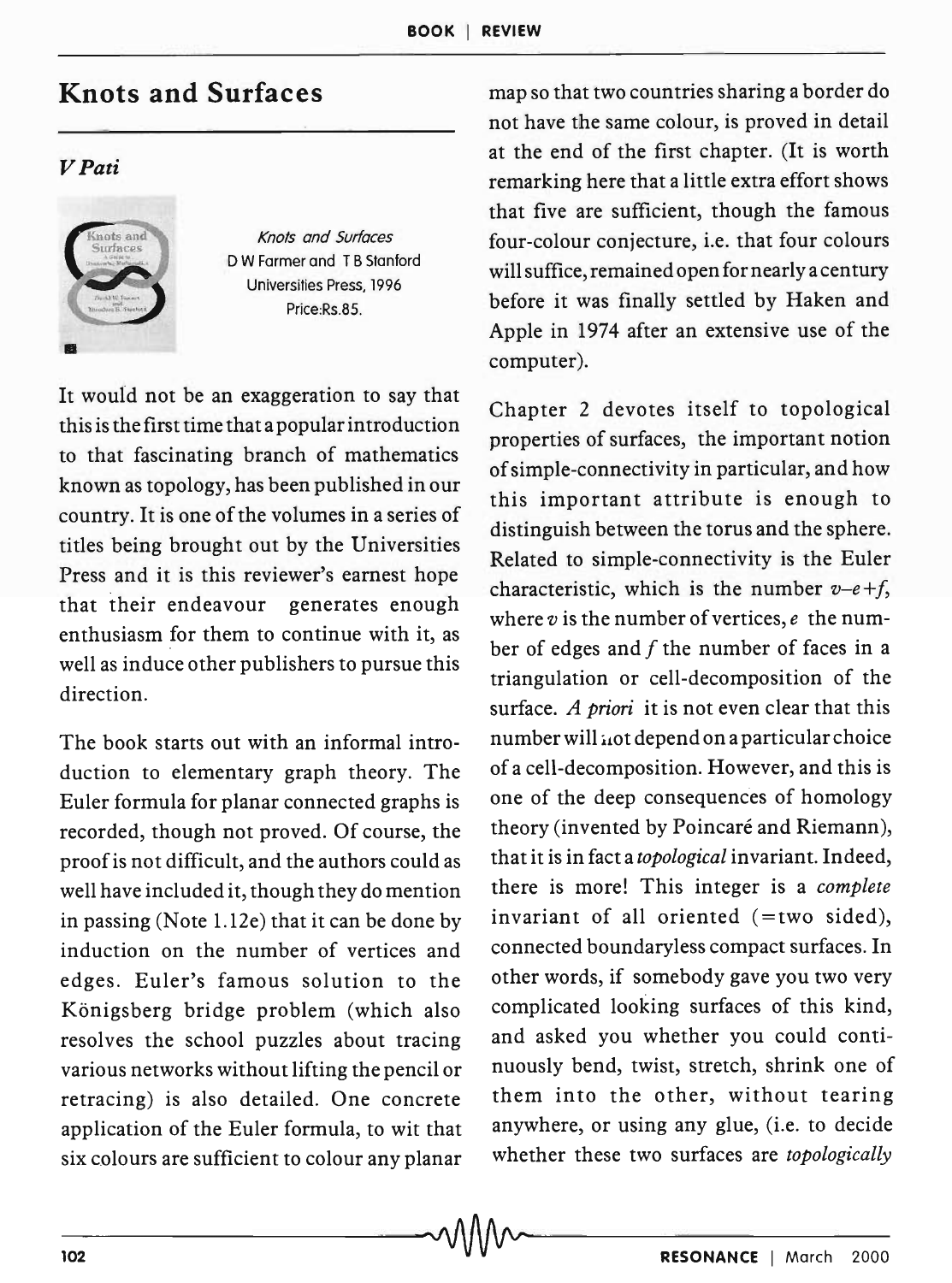## **Knots and Surfaces**

## *VPati*



Knots and Surfaces D W Farmer and T B Stanford Universities Press, 1996 Price:Rs.85.

It would not be an exaggeration to say that this is the first time that a popular introduction to that fascinating branch of mathematics known as topology, has been published in our country. It is one of the volumes in a series of titles being brought out by the Universities Press and it is this reviewer's earnest hope that their endeavour generates enough enthusiasm for them to continue with it, as well as induce other publishers to pursue this direction.

The book starts out with an informal introduction to elementary graph theory. The Euler formula for planar connected graphs is recorded, though not proved. Of course, the proof is not difficult, and the authors could as well have included it, though they do mention in passing (Note 1.12e) that it can be done by induction on the number of vertices and edges. Euler's famous solution to the Königsberg bridge problem (which also resolves the school puzzles about tracing various networks without lifting the pencil or retracing) is also detailed. One concrete application of the Euler formula, to wit that six colours are sufficient to colour any planar map so that two countries sharing a border do not have the same colour, is proved in detail at the end of the first chapter. (It is worth remarking here that a little extra effort shows that five are sufficient, though the famous four-colour conjecture, i.e. that four colours will suffice, remained open for nearly a century before it was finally settled by Haken and Apple in 1974 after an extensive use of the computer).

Chapter 2 devotes itself to topological properties of surfaces, the important notion of simple-connectivity in particular, and how this important attribute is enough to distinguish between the torus and the sphere. Related to simple-connectivity is the Euler characteristic, which is the number  $v-e+f$ , where *v* is the number of vertices, *e* the number of edges and  $f$  the number of faces in a triangulation or cell-decomposition of the surface. *A priori* it is not even clear that this number will  $\mu$ ot depend on a particular choice of a cell-decomposition. However, and this is one of the deep consequences of homology theory (invented by Poincaré and Riemann), that it is in fact a *topological* invariant. Indeed, there is more! This integer is a *complete*  invariant of all oriented (=two sided), connected boundaryless compact surfaces. In other words, if somebody gave you two very complicated looking surfaces of this kind, and asked you whether you could continuously bend, twist, stretch, shrink one of them into the other, without tearing anywhere, or using any glue, (i.e. to decide whether these two surfaces are *topologically*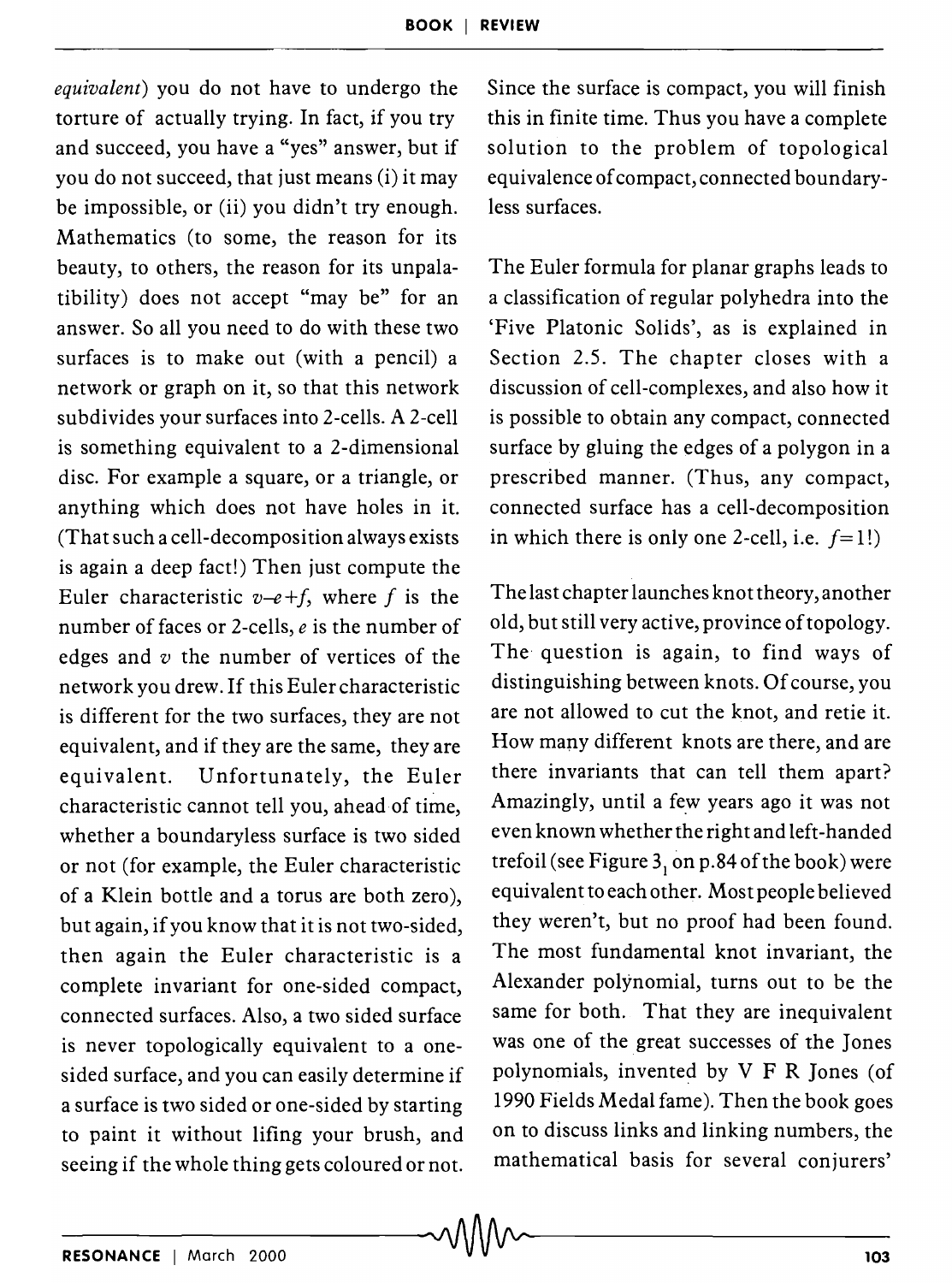*equivalent)* you do not have to undergo the torture of actually trying. In fact, if you try and succeed, you have a "yes" answer, but if you do not succeed, that just means (i) it may be impossible, or (ii) you didn't try enough. Mathematics (to some, the reason for its beauty, to others, the reason for its unpalatibility) does not accept "may be" for an answer. So all you need to do with these two surfaces is to make out (with a pencil) a network or graph on it, so that this network subdivides your surfaces into 2-cells. A 2-cell is something equivalent to a 2-dimensional disc. For example a square, or a triangle, or anything which does not have holes in it. (That such a cell-decomposition always exists is again a deep fact!) Then just compute the Euler characteristic  $v-e+f$ , where f is the number of faces or 2-cells, *e* is the number of edges and  $v$  the number of vertices of the network you drew. If this Euler characteristic is different for the two surfaces, they are not equivalent, and if they are the same, they are equivalent. Unfortunately, the Euler characteristic cannot tell you, ahead of time, whether a boundaryless surface is two sided or not (for example, the Euler characteristic of a Klein bottle and a torus are both zero), but again, if you know that it is not two-sided, then again the Euler characteristic is a complete invariant for one-sided compact, connected surfaces. Also, a two sided surface is never topologically equivalent to a onesided surface, and you can easily determine if a surface is two sided or one-sided by starting to paint it without lifing your brush, and seeing if the whole thing gets coloured or not. seeing if the whole thing gets coloured or not. In mainematical basis for several conjurers<br> $\sim$   $\sqrt{1/\sqrt{2}}$ 

Since the surface is compact, you will finish this in finite time. Thus you have a complete solution to the problem of topological equivalence of compact, connected boundaryless surfaces.

The Euler formula for planar graphs leads to a classification of regular polyhedra into the 'Five Platonic Solids', as is explained in Section 2.5. The chapter closes with a discussion of cell-complexes, and also how it is possible to obtain any compact, connected surface by gluing the edges of a polygon in a prescribed manner. (Thus, any compact, connected surface has a cell-decomposition in which there is only one 2-cell, i.e.  $f=1!$ )

The last chapter launches knot theory, another old, but still very active, province of topology. The question is again, to find ways of distinguishing between knots. Of course, you are not allowed to cut the knot, and retie it. How many different knots are there, and are there invariants that can tell them apart? Amazingly, until a few years ago it was not even known whether the right and left-handed trefoil (see Figure  $3<sub>1</sub>$  on p.84 of the book) were equivalent to each other. Most people believed they weren't, but no proof had been found. The most fundamental knot invariant, the Alexander polynomial, turns out to be the same for both. That they are inequivalent was one of the great successes of the Jones polynomials, invented by  $V$  F R Jones (of 1990 Fields Medal fame). Then the book goes on to discuss links and linking numbers, the mathematical basis for several conjurers'